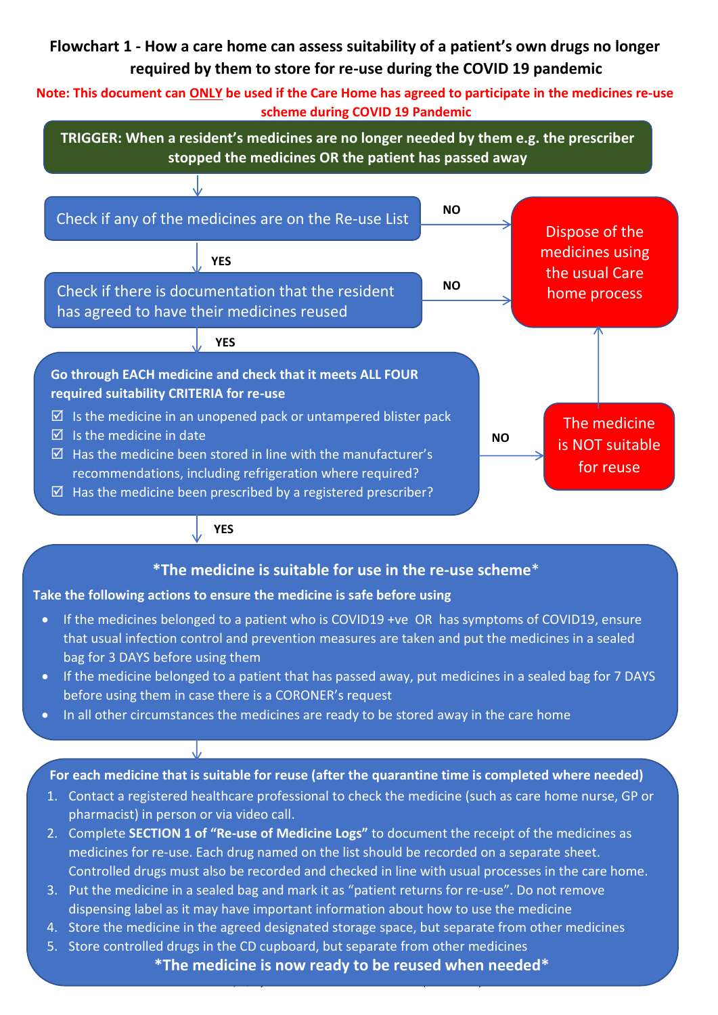# **Flowchart 1 - How a care home can assess suitability of a patient's own drugs no longer required by them to store for re-use during the COVID 19 pandemic**

**Note: This document can ONLY be used if the Care Home has agreed to participate in the medicines re-use scheme during COVID 19 Pandemic**

**TRIGGER: When a resident's medicines are no longer needed by them e.g. the prescriber stopped the medicines OR the patient has passed away** 



### **YES**

## **\*The medicine is suitable for use in the re-use scheme**\*

#### **Take the following actions to ensure the medicine is safe before using**

- If the medicines belonged to a patient who is COVID19 +ve OR has symptoms of COVID19, ensure that usual infection control and prevention measures are taken and put the medicines in a sealed bag for 3 DAYS before using them
- If the medicine belonged to a patient that has passed away, put medicines in a sealed bag for 7 DAYS before using them in case there is a CORONER's request
- In all other circumstances the medicines are ready to be stored away in the care home

# **Where the medicine is a controlled drug, all applicable safe storage and documentation measures**  For each medicine that is suitable for reuse (after the quarantine time is completed where needed)

- 1. Contact a registered healthcare professional to check the medicine (such as care home nurse, GP or pharmacist) in person or via video call.
- 2. Complete **SECTION 1 of "Re-use of Medicine Logs"** to document the receipt of the medicines as medicines for re-use. Each drug named on the list should be recorded on a separate sheet. Controlled drugs must also be recorded and checked in line with usual processes in the care home.
- 3. Put the medicine in a sealed bag and mark it as "patient returns for re-use". Do not remove dispensing label as it may have important information about how to use the medicine
- Developed for use in the COVID-19 pandemic (2020) in collaboration with: 4. Store the medicine in the agreed designated storage space, but separate from other medicines
	- *Lambeth Medicines Optimisation team and Southwark Medicines Optimisation team (part of SELCCG)*  5. Store controlled drugs in the CD cupboard, but separate from other medicines

*Care Home Pharmacist, Quay Health Solutions GP Federation (Southwark)*

*Integrated Care Pharmacy team, Guy's & St Thomas' NHS Foundation Trust* **\*The medicine is now ready to be reused when needed\***